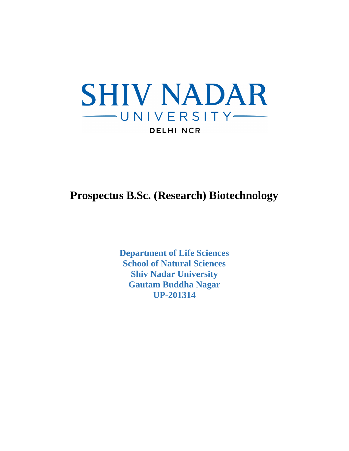

**Prospectus B.Sc. (Research) Biotechnology** 

**Department of Life Sciences School of Natural Sciences Shiv Nadar University Gautam Buddha Nagar UP-201314**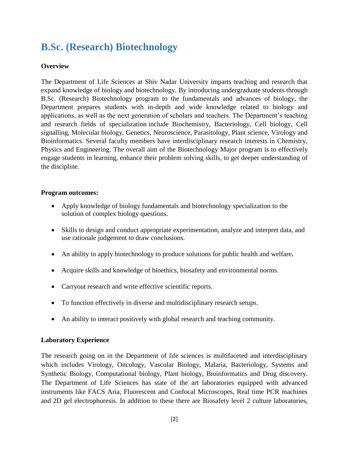## **B.Sc. (Research) Biotechnology**

#### **Overview**

The Department of Life Sciences at Shiv Nadar University imparts teaching and research that expand knowledge of biology and biotechnology. By introducing undergraduate students through B.Sc. (Research) Biotechnology program to the fundamentals and advances of biology, the Department prepares students with in-depth and wide knowledge related to biology and applications, as well as the next generation of scholars and teachers. The Department's teaching and research fields of specialization include Biochemistry, Bacteriology, Cell biology, Cell signalling, Molecular biology, Genetics, Neuroscience, Parasitology, Plant science, Virology and Bioinformatics. Several faculty members have interdisciplinary research interests in Chemistry, Physics and Engineering. The overall aim of the Biotechnology Major program is to effectively engage students in learning, enhance their problem solving skills, to get deeper understanding of the discipline.

#### **Program outcomes:**

- Apply knowledge of biology fundamentals and biotechnology specialization to the solution of complex biology questions.
- Skills to design and conduct appropriate experimentation, analyze and interpret data, and use rationale judgement to draw conclusions.
- An ability to apply biotechnology to produce solutions for public health and welfare**.**
- Acquire skills and knowledge of bioethics, biosafety and environmental norms.
- Carryout research and write effective scientific reports.
- To function effectively in diverse and multidisciplinary research setups.
- An ability to interact positively with global research and teaching community.

#### **Laboratory Experience**

The research going on in the Department of life sciences is multifaceted and interdisciplinary which includes Virology, Oncology, Vascular Biology, Malaria, Bacteriology, Systems and Synthetic Biology, Computational biology, Plant biology, Bioinformatics and Drug discovery. The Department of Life Sciences has state of the art laboratories equipped with advanced instruments like FACS Aria, Fluorescent and Confocal Microscopes, Real time PCR machines and 2D gel electrophoresis. In addition to these there are Biosafety level 2 culture laboratories,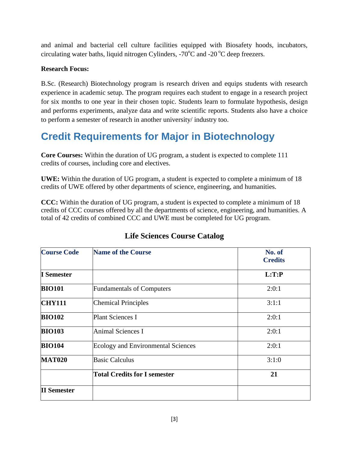and animal and bacterial cell culture facilities equipped with Biosafety hoods, incubators, circulating water baths, liquid nitrogen Cylinders,  $-70^{\circ}$ C and  $-20^{\circ}$ C deep freezers.

#### **Research Focus:**

B.Sc. (Research) Biotechnology program is research driven and equips students with research experience in academic setup. The program requires each student to engage in a research project for six months to one year in their chosen topic. Students learn to formulate hypothesis, design and performs experiments, analyze data and write scientific reports. Students also have a choice to perform a semester of research in another university/ industry too.

## **Credit Requirements for Major in Biotechnology**

**Core Courses:** Within the duration of UG program, a student is expected to complete 111 credits of courses, including core and electives.

**UWE:** Within the duration of UG program, a student is expected to complete a minimum of 18 credits of UWE offered by other departments of science, engineering, and humanities.

**CCC:** Within the duration of UG program, a student is expected to complete a minimum of 18 credits of CCC courses offered by all the departments of science, engineering, and humanities. A total of 42 credits of combined CCC and UWE must be completed for UG program.

| <b>Course Code</b>                                               | <b>Name of the Course</b>                                                                                                      | No. of<br><b>Credits</b> |  |
|------------------------------------------------------------------|--------------------------------------------------------------------------------------------------------------------------------|--------------------------|--|
| I Semester                                                       |                                                                                                                                | L:T:P                    |  |
| <b>BIO101</b>                                                    | <b>Fundamentals of Computers</b>                                                                                               | 2:0:1                    |  |
| <b>CHY111</b><br><b>BIO102</b><br><b>BIO103</b><br><b>BIO104</b> | <b>Chemical Principles</b><br><b>Plant Sciences I</b><br><b>Animal Sciences I</b><br><b>Ecology and Environmental Sciences</b> | 3:1:1                    |  |
|                                                                  |                                                                                                                                | 2:0:1                    |  |
|                                                                  |                                                                                                                                | 2:0:1                    |  |
|                                                                  |                                                                                                                                | 2:0:1                    |  |
| <b>MAT020</b>                                                    | <b>Basic Calculus</b>                                                                                                          | 3:1:0                    |  |
|                                                                  | <b>Total Credits for I semester</b>                                                                                            | 21                       |  |
| <b>II</b> Semester                                               |                                                                                                                                |                          |  |

### **Life Sciences Course Catalog**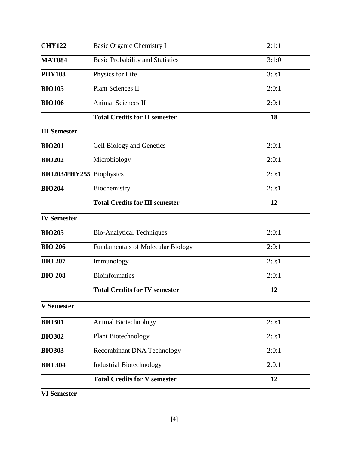| <b>CHY122</b>        | Basic Organic Chemistry I                | 2:1:1 |
|----------------------|------------------------------------------|-------|
| <b>MAT084</b>        | <b>Basic Probability and Statistics</b>  | 3:1:0 |
| <b>PHY108</b>        | Physics for Life                         | 3:0:1 |
| <b>BIO105</b>        | <b>Plant Sciences II</b>                 | 2:0:1 |
| <b>BIO106</b>        | <b>Animal Sciences II</b>                | 2:0:1 |
|                      | <b>Total Credits for II semester</b>     | 18    |
| <b>III Semester</b>  |                                          |       |
| <b>BIO201</b>        | <b>Cell Biology and Genetics</b>         | 2:0:1 |
| <b>BIO202</b>        | Microbiology                             | 2:0:1 |
| <b>BIO203/PHY255</b> | Biophysics                               | 2:0:1 |
| <b>BIO204</b>        | Biochemistry                             | 2:0:1 |
|                      | <b>Total Credits for III semester</b>    | 12    |
| <b>IV Semester</b>   |                                          |       |
| <b>BIO205</b>        | <b>Bio-Analytical Techniques</b>         | 2:0:1 |
| <b>BIO 206</b>       | <b>Fundamentals of Molecular Biology</b> | 2:0:1 |
| <b>BIO 207</b>       | Immunology                               | 2:0:1 |
| <b>BIO 208</b>       | <b>Bioinformatics</b>                    | 2:0:1 |
|                      | <b>Total Credits for IV semester</b>     | 12    |
| <b>V</b> Semester    |                                          |       |
| <b>BIO301</b>        | <b>Animal Biotechnology</b>              | 2:0:1 |
| <b>BIO302</b>        | <b>Plant Biotechnology</b>               | 2:0:1 |
| <b>BIO303</b>        | <b>Recombinant DNA Technology</b>        | 2:0:1 |
| <b>BIO 304</b>       | <b>Industrial Biotechnology</b>          | 2:0:1 |
|                      | <b>Total Credits for V semester</b>      | 12    |
| <b>VI</b> Semester   |                                          |       |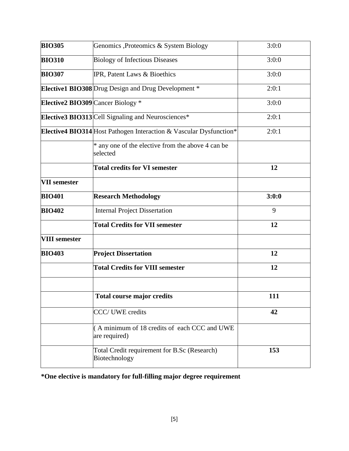| <b>BIO305</b>                     | Genomics ,Proteomics & System Biology                              | 3:0:0      |
|-----------------------------------|--------------------------------------------------------------------|------------|
| <b>BIO310</b>                     | <b>Biology of Infectious Diseases</b>                              | 3:0:0      |
| <b>BIO307</b>                     | IPR, Patent Laws & Bioethics                                       | 3:0:0      |
|                                   | Elective1 BIO308 Drug Design and Drug Development *                | 2:0:1      |
| Elective2 BIO309 Cancer Biology * |                                                                    | 3:0:0      |
|                                   | Elective3 BIO313 Cell Signaling and Neurosciences*                 | 2:0:1      |
|                                   | Elective4 BIO314 Host Pathogen Interaction & Vascular Dysfunction* | 2:0:1      |
|                                   | * any one of the elective from the above 4 can be<br>selected      |            |
|                                   | <b>Total credits for VI semester</b>                               | 12         |
| <b>VII</b> semester               |                                                                    |            |
| <b>BIO401</b>                     | <b>Research Methodology</b>                                        | 3:0:0      |
| <b>BIO402</b>                     | <b>Internal Project Dissertation</b>                               | 9          |
|                                   | <b>Total Credits for VII semester</b>                              | 12         |
| <b>VIII</b> semester              |                                                                    |            |
| <b>BIO403</b>                     | <b>Project Dissertation</b>                                        | 12         |
|                                   | <b>Total Credits for VIII semester</b>                             | 12         |
|                                   | <b>Total course major credits</b>                                  | <b>111</b> |
|                                   | <b>CCC/ UWE credits</b>                                            | 42         |
|                                   | (A minimum of 18 credits of each CCC and UWE<br>are required)      |            |
|                                   | Total Credit requirement for B.Sc (Research)<br>Biotechnology      | 153        |

**\*One elective is mandatory for full-filling major degree requirement**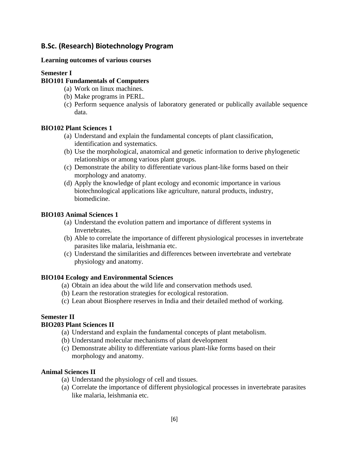#### **B.Sc. (Research) Biotechnology Program**

#### **Learning outcomes of various courses**

#### **Semester I**

#### **BIO101 Fundamentals of Computers**

- (a) Work on linux machines.
- (b) Make programs in PERL.
- (c) Perform sequence analysis of laboratory generated or publically available sequence data.

#### **BIO102 Plant Sciences 1**

- (a) Understand and explain the fundamental concepts of plant classification, identification and systematics.
- (b) Use the morphological, anatomical and genetic information to derive phylogenetic relationships or among various plant groups.
- (c) Demonstrate the ability to differentiate various plant-like forms based on their morphology and anatomy.
- (d) Apply the knowledge of plant ecology and economic importance in various biotechnological applications like agriculture, natural products, industry, biomedicine.

#### **BIO103 Animal Sciences 1**

- (a) Understand the evolution pattern and importance of different systems in Invertebrates.
- (b) Able to correlate the importance of different physiological processes in invertebrate parasites like malaria, leishmania etc.
- (c) Understand the similarities and differences between invertebrate and vertebrate physiology and anatomy.

#### **BIO104 Ecology and Environmental Sciences**

- (a) Obtain an idea about the wild life and conservation methods used.
- (b) Learn the restoration strategies for ecological restoration.
- (c) Lean about Biosphere reserves in India and their detailed method of working.

#### **Semester II**

#### **BIO203 Plant Sciences II**

- (a) Understand and explain the fundamental concepts of plant metabolism.
- (b) Understand molecular mechanisms of plant development
- (c) Demonstrate ability to differentiate various plant-like forms based on their morphology and anatomy.

#### **Animal Sciences II**

- (a) Understand the physiology of cell and tissues.
- (a) Correlate the importance of different physiological processes in invertebrate parasites like malaria, leishmania etc.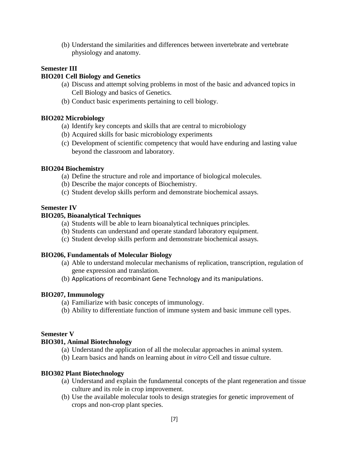(b) Understand the similarities and differences between invertebrate and vertebrate physiology and anatomy.

#### **Semester III**

#### **BIO201 Cell Biology and Genetics**

- (a) Discuss and attempt solving problems in most of the basic and advanced topics in Cell Biology and basics of Genetics.
- (b) Conduct basic experiments pertaining to cell biology.

#### **BIO202 Microbiology**

- (a) Identify key concepts and skills that are central to microbiology
- (b) Acquired skills for basic microbiology experiments
- (c) Development of scientific competency that would have enduring and lasting value beyond the classroom and laboratory.

#### **BIO204 Biochemistry**

- (a) Define the structure and role and importance of biological molecules.
- (b) Describe the major concepts of Biochemistry.
- (c) Student develop skills perform and demonstrate biochemical assays.

#### **Semester IV**

#### **BIO205, Bioanalytical Techniques**

- (a) Students will be able to learn bioanalytical techniques principles.
- (b) Students can understand and operate standard laboratory equipment.
- (c) Student develop skills perform and demonstrate biochemical assays.

#### **BIO206, Fundamentals of Molecular Biology**

- (a) Able to understand molecular mechanisms of replication, transcription, regulation of gene expression and translation.
- (b) Applications of recombinant Gene Technology and its manipulations.

#### **BIO207, Immunology**

- (a) Familiarize with basic concepts of immunology.
- (b) Ability to differentiate function of immune system and basic immune cell types.

#### **Semester V**

#### **BIO301, Animal Biotechnology**

- (a) Understand the application of all the molecular approaches in animal system.
- (b) Learn basics and hands on learning about *in vitro* Cell and tissue culture.

#### **BIO302 Plant Biotechnology**

- (a) Understand and explain the fundamental concepts of the plant regeneration and tissue culture and its role in crop improvement.
- (b) Use the available molecular tools to design strategies for genetic improvement of crops and non-crop plant species.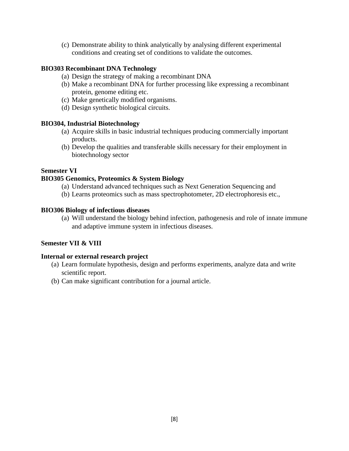(c) Demonstrate ability to think analytically by analysing different experimental conditions and creating set of conditions to validate the outcomes.

#### **BIO303 Recombinant DNA Technology**

- (a) Design the strategy of making a recombinant DNA
- (b) Make a recombinant DNA for further processing like expressing a recombinant protein, genome editing etc.
- (c) Make genetically modified organisms.
- (d) Design synthetic biological circuits.

#### **BIO304, Industrial Biotechnology**

- (a) Acquire skills in basic industrial techniques producing commercially important products.
- (b) Develop the qualities and transferable skills necessary for their employment in biotechnology sector

#### **Semester VI**

#### **BIO305 Genomics, Proteomics & System Biology**

- (a) Understand advanced techniques such as Next Generation Sequencing and
- (b) Learns proteomics such as mass spectrophotometer, 2D electrophoresis etc.,

#### **BIO306 Biology of infectious diseases**

(a) Will understand the biology behind infection, pathogenesis and role of innate immune and adaptive immune system in infectious diseases.

#### **Semester VII & VIII**

#### **Internal or external research project**

- (a) Learn formulate hypothesis, design and performs experiments, analyze data and write scientific report.
- (b) Can make significant contribution for a journal article.